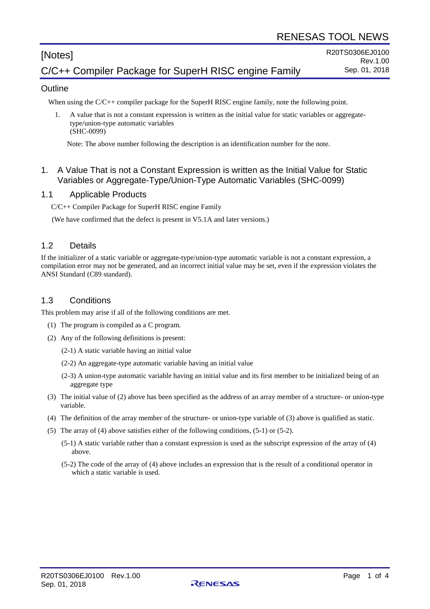# [Notes] C/C++ Compiler Package for SuperH RISC engine Family

#### **Outline**

When using the C/C++ compiler package for the SuperH RISC engine family, note the following point.

1. A value that is not a constant expression is written as the initial value for static variables or aggregatetype/union-type automatic variables (SHC-0099)

Note: The above number following the description is an identification number for the note.

#### 1. A Value That is not a Constant Expression is written as the Initial Value for Static Variables or Aggregate-Type/Union-Type Automatic Variables (SHC-0099)

#### 1.1 Applicable Products

C/C++ Compiler Package for SuperH RISC engine Family

(We have confirmed that the defect is present in V5.1A and later versions.)

#### 1.2 Details

If the initializer of a static variable or aggregate-type/union-type automatic variable is not a constant expression, a compilation error may not be generated, and an incorrect initial value may be set, even if the expression violates the ANSI Standard (C89 standard).

#### 1.3 Conditions

This problem may arise if all of the following conditions are met.

- (1) The program is compiled as a C program.
- (2) Any of the following definitions is present:
	- (2-1) A static variable having an initial value
	- (2-2) An aggregate-type automatic variable having an initial value
	- (2-3) A union-type automatic variable having an initial value and its first member to be initialized being of an aggregate type
- (3) The initial value of (2) above has been specified as the address of an array member of a structure- or union-type variable.
- (4) The definition of the array member of the structure- or union-type variable of (3) above is qualified as static.
- (5) The array of (4) above satisfies either of the following conditions, (5-1) or (5-2).
	- (5-1) A static variable rather than a constant expression is used as the subscript expression of the array of (4) above.
	- (5-2) The code of the array of (4) above includes an expression that is the result of a conditional operator in which a static variable is used.

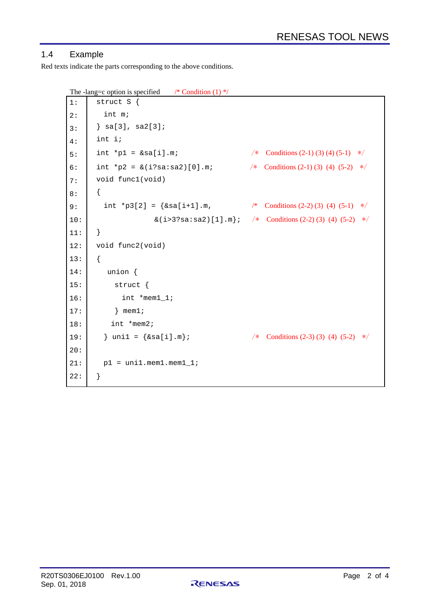## 1.4 Example

Red texts indicate the parts corresponding to the above conditions.

```
The -lang=c option is specified \frac{\pi}{2} Condition (1) */
```

```
1:
2:
3:
4:
5:
6:
7:
8:
9:
10:
11:
12:
13:
14:
15:
16:
17:
18:
19:
20:
21:
22:
       struct S {
          int m;
       } sa[3], sa2[3];
       int i;
       int *p1 = \& \text{sal} \text{i}. \text{m}; /* Conditions (2-1) (3) (4) (5-1) */
       int *p2 = \&(i?sa:sa2)[0].m; /* Conditions (2-1) (3) (4) (5-2) */
       void func1(void)
       { 
         int *p3[2] = \{sa[i+1].m, /* Conditions (2-2) (3) (4) (5-1) */
                       \&( i > 3?sa : sa2) [1].m}; \angle* Conditions (2-2) (3) (4) (5-2) \angle} 
       void func2(void)
       { 
           union {
             struct {
               int *mem1_1;
            } mem1;
            int *mem2;
         } uni1 = \{\&\text{sal}i\}, \uparrow /* Conditions (2-3) (3) (4) (5-2) */
         p1 = uni1.mem1.mem1_1;
       }
```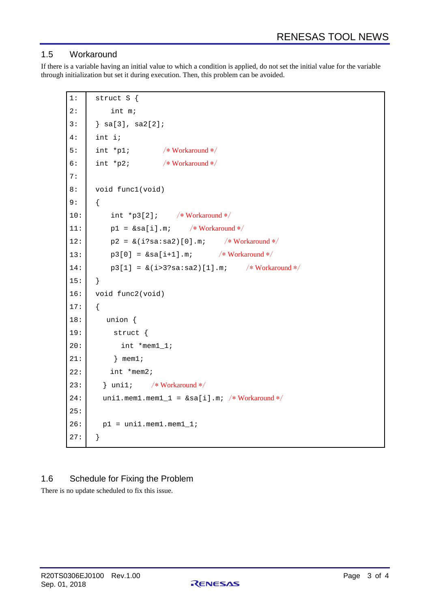### 1.5 Workaround

If there is a variable having an initial value to which a condition is applied, do not set the initial value for the variable through initialization but set it during execution. Then, this problem can be avoided.

```
1:
2:
3:
4:
5:
6:
7:
8:
9:
10:
11:
12:
13:
14:
15:
16:
17:
18:
19:
20:
21:
22:
23:
24:
25:
26:
27:
      struct S {
          int m;
      \} sa[3], sa2[2];
      int i;
      int *p1; /* Workaround */
      int *_{p2}; /* Workaround */
      void func1(void)
      { 
          int *p3[2]; /* Workaround */p1 = &sa[i].m; /* Workaround */
          p2 = \&(i?sa:sa2)[0].m; /* Workaround */
          p3[0] = \&sa[i+1].m; /* Workaround */
          p3[1] = \& (i>3?sa:sa2)[1].m; /*Workaround */
      } 
      void func2(void)
      { 
          union {
            struct {
              int *mem1_1;
            } mem1;
           int *mem2;
         } uni1; /* Workaround */
        uni1.mem1.mem1_1 = &sa[i].m; /* Workaround */
        p1 = \text{unil.mem1.mem1\_1};}
```
# 1.6 Schedule for Fixing the Problem

There is no update scheduled to fix this issue.